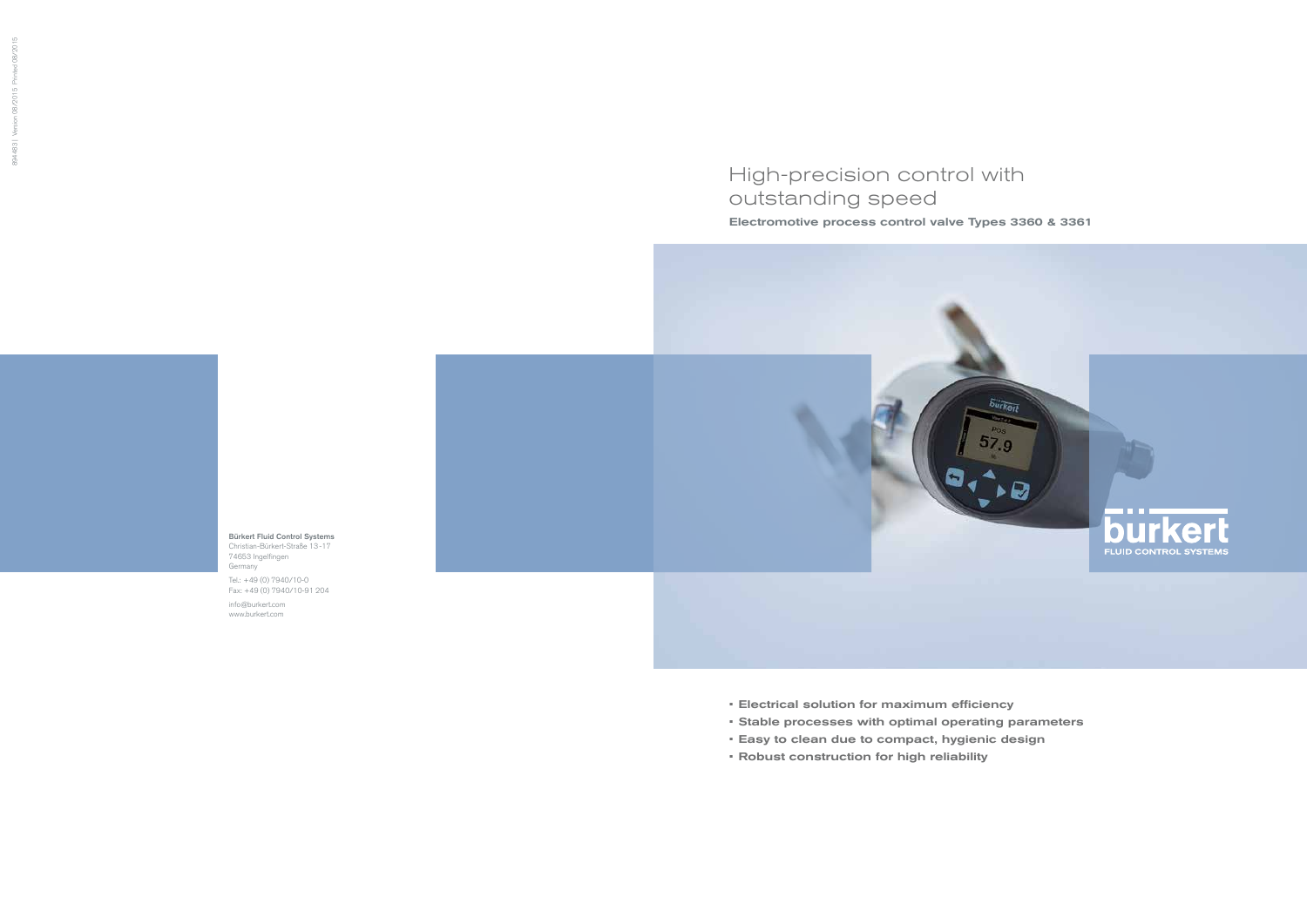# High-precision control with outstanding speed

Electromotive process control valve Types 3360 & 3361



- Electrical solution for maximum efficiency
- Stable processes with optimal operating parameters
- Easy to clean due to compact, hygienic design
- Robust construction for high reliability

Bürkert Fluid Control Systems Christian-Bürkert-Straße 13-17 74653 Ingelfingen Germany

Tel.: +49 (0) 7940/10-0 Fax: +49 (0) 7940/10-91 204

info@burkert.com www.burkert.com